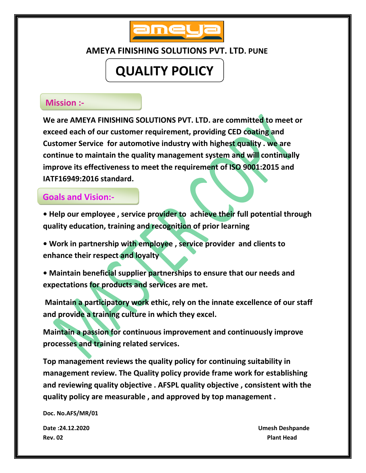

### **AMEYA FINISHING SOLUTIONS PVT. LTD. PUNE**

## **QUALITY POLICY**

#### **Mission :-**

**We are AMEYA FINISHING SOLUTIONS PVT. LTD. are committed to meet or exceed each of our customer requirement, providing CED coating and Customer Service for automotive industry with highest quality . we are continue to maintain the quality management system and will continually improve its effectiveness to meet the requirement of ISO 9001:2015 and IATF16949:2016 standard.**

### **Goals and Vision:-**

**• Help our employee , service provider to achieve their full potential through quality education, training and recognition of prior learning**

**• Work in partnership with employee , service provider and clients to enhance their respect and loyalty**

**• Maintain beneficial supplier partnerships to ensure that our needs and expectations for products and services are met.**

**Maintain a participatory work ethic, rely on the innate excellence of our staff and provide a training culture in which they excel.**

**Maintain a passion for continuous improvement and continuously improve processes and training related services.**

**Top management reviews the quality policy for continuing suitability in management review. The Quality policy provide frame work for establishing and reviewing quality objective . AFSPL quality objective , consistent with the quality policy are measurable , and approved by top management .**

**Doc. No.AFS/MR/01**

**Rev. 02 Plant Head**

**Date :24.12.2020 Umesh Deshpande**